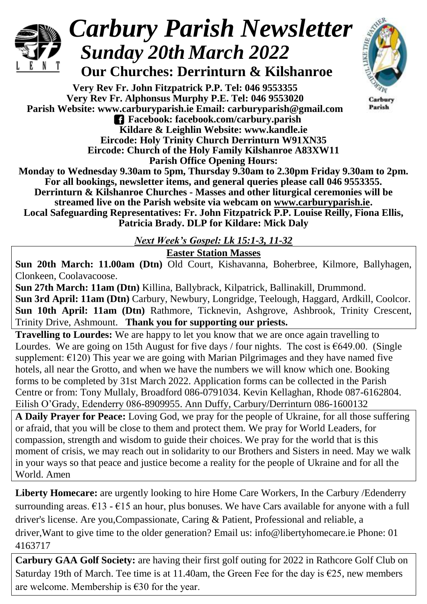

## *Carbury Parish Newsletter Sunday 20th March 2022*

 **Our Churches: Derrinturn & Kilshanroe**

**Very Rev Fr. John Fitzpatrick P.P. Tel: 046 9553355 Very Rev Fr. Alphonsus Murphy P.E. Tel: 046 9553020 Parish Website: www.carburyparish.ie Email: carburyparish@gmail.com Facebook: facebook.com/carbury.parish Kildare & Leighlin Website: www.kandle.ie Eircode: Holy Trinity Church Derrinturn W91XN35 Eircode: Church of the Holy Family Kilshanroe A83XW11 Parish Office Opening Hours:**



Carbury Parish

**Monday to Wednesday 9.30am to 5pm, Thursday 9.30am to 2.30pm Friday 9.30am to 2pm. For all bookings, newsletter items, and general queries please call 046 9553355. Derrinturn & Kilshanroe Churches - Masses and other liturgical ceremonies will be streamed live on the Parish website via webcam on [www.carburyparish.ie.](http://www.carburyparish.ie/) Local Safeguarding Representatives: Fr. John Fitzpatrick P.P. Louise Reilly, Fiona Ellis, Patricia Brady. DLP for Kildare: Mick Daly**

*Next Week's Gospel: Lk 15:1-3, 11-32*

**Easter Station Masses**

**Sun 20th March: 11.00am (Dtn)** Old Court, Kishavanna, Boherbree, Kilmore, Ballyhagen, Clonkeen, Coolavacoose.

**Sun 27th March: 11am (Dtn)** Killina, Ballybrack, Kilpatrick, Ballinakill, Drummond. **Sun 3rd April: 11am (Dtn)** Carbury, Newbury, Longridge, Teelough, Haggard, Ardkill, Coolcor. **Sun 10th April: 11am (Dtn)** Rathmore, Ticknevin, Ashgrove, Ashbrook, Trinity Crescent, Trinity Drive, Ashmount. **Thank you for supporting our priests.**

**Travelling to Lourdes:** We are happy to let you know that we are once again travelling to Lourdes. We are going on 15th August for five days / four nights. The cost is  $\epsilon$ 649.00. (Single supplement:  $\epsilon$ 120) This year we are going with Marian Pilgrimages and they have named five hotels, all near the Grotto, and when we have the numbers we will know which one. Booking forms to be completed by 31st March 2022. Application forms can be collected in the Parish Centre or from: Tony Mullaly, Broadford 086-0791034. Kevin Kellaghan, Rhode 087-6162804. Eilish O'Grady, Edenderry 086-8909955. Ann Duffy, Carbury/Derrinturn 086-1600132

**A Daily Prayer for Peace:** Loving God, we pray for the people of Ukraine, for all those suffering or afraid, that you will be close to them and protect them. We pray for World Leaders, for compassion, strength and wisdom to guide their choices. We pray for the world that is this moment of crisis, we may reach out in solidarity to our Brothers and Sisters in need. May we walk in your ways so that peace and justice become a reality for the people of Ukraine and for all the World. Amen

**Liberty Homecare:** are urgently looking to hire Home Care Workers, In the Carbury /Edenderry surrounding areas.  $\epsilon$ 13 -  $\epsilon$ 15 an hour, plus bonuses. We have Cars available for anyone with a full driver's license. Are you,Compassionate, Caring & Patient, Professional and reliable, a driver,Want to give time to the older generation? Email us: [info@libertyhomecare.ie](mailto:info@libertyhomecare.ie) Phone: 01 4163717

**Carbury GAA Golf Society:** are having their first golf outing for 2022 in Rathcore Golf Club on Saturday 19th of March. Tee time is at 11.40am, the Green Fee for the day is  $\epsilon$ 25, new members are welcome. Membership is  $\epsilon$ 30 for the year.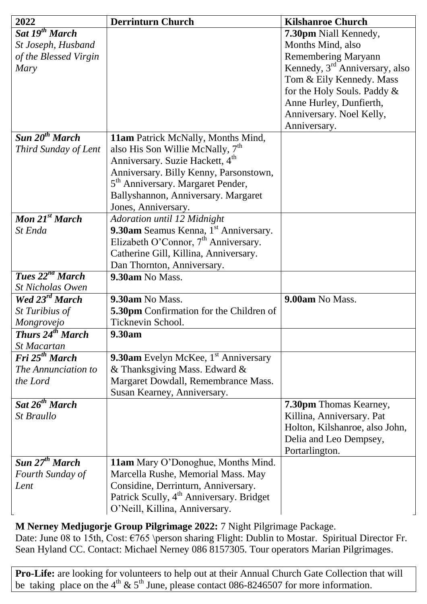| 2022                               | <b>Derrinturn Church</b>                             | <b>Kilshanroe Church</b>                   |
|------------------------------------|------------------------------------------------------|--------------------------------------------|
| Sat 19 <sup>th</sup> March         |                                                      | 7.30pm Niall Kennedy,                      |
| St Joseph, Husband                 |                                                      | Months Mind, also                          |
| of the Blessed Virgin              |                                                      | <b>Remembering Maryann</b>                 |
| Mary                               |                                                      | Kennedy, 3 <sup>rd</sup> Anniversary, also |
|                                    |                                                      | Tom & Eily Kennedy. Mass                   |
|                                    |                                                      | for the Holy Souls. Paddy &                |
|                                    |                                                      | Anne Hurley, Dunfierth,                    |
|                                    |                                                      | Anniversary. Noel Kelly,                   |
|                                    |                                                      | Anniversary.                               |
| Sun $20^{th}$ March                | 11am Patrick McNally, Months Mind,                   |                                            |
| Third Sunday of Lent               | also His Son Willie McNally, 7 <sup>th</sup>         |                                            |
|                                    | Anniversary. Suzie Hackett, 4 <sup>th</sup>          |                                            |
|                                    | Anniversary. Billy Kenny, Parsonstown,               |                                            |
|                                    | 5 <sup>th</sup> Anniversary. Margaret Pender,        |                                            |
|                                    | Ballyshannon, Anniversary. Margaret                  |                                            |
|                                    | Jones, Anniversary.                                  |                                            |
| Mon $21^{st}$ March                | Adoration until 12 Midnight                          |                                            |
| St Enda                            | 9.30am Seamus Kenna, 1 <sup>st</sup> Anniversary.    |                                            |
|                                    | Elizabeth O'Connor, 7 <sup>th</sup> Anniversary.     |                                            |
|                                    | Catherine Gill, Killina, Anniversary.                |                                            |
|                                    | Dan Thornton, Anniversary.                           |                                            |
| <b>Tues</b> $22^{nd}$ <b>March</b> | 9.30am No Mass.                                      |                                            |
| <b>St Nicholas Owen</b>            |                                                      |                                            |
| Wed 23 <sup>rd</sup> March         | 9.30am No Mass.                                      | 9.00am No Mass.                            |
| St Turibius of                     | 5.30pm Confirmation for the Children of              |                                            |
| Mongrovejo                         | Ticknevin School.                                    |                                            |
| <b>Thurs 24th March</b>            | 9.30am                                               |                                            |
| St Macartan                        |                                                      |                                            |
| Fri 25 <sup>th</sup> March         | <b>9.30am</b> Evelyn McKee, $1st$ Anniversary        |                                            |
| The Annunciation to                | & Thanksgiving Mass. Edward &                        |                                            |
| the Lord                           | Margaret Dowdall, Remembrance Mass.                  |                                            |
|                                    | Susan Kearney, Anniversary.                          |                                            |
| Sat 26 <sup>th</sup> March         |                                                      | 7.30pm Thomas Kearney,                     |
| St Braullo                         |                                                      | Killina, Anniversary. Pat                  |
|                                    |                                                      | Holton, Kilshanroe, also John,             |
|                                    |                                                      | Delia and Leo Dempsey,                     |
|                                    |                                                      | Portarlington.                             |
| Sun 27 <sup>th</sup> March         | 11am Mary O'Donoghue, Months Mind.                   |                                            |
| Fourth Sunday of                   | Marcella Rushe, Memorial Mass. May                   |                                            |
| Lent                               | Considine, Derrinturn, Anniversary.                  |                                            |
|                                    | Patrick Scully, 4 <sup>th</sup> Anniversary. Bridget |                                            |
|                                    | O'Neill, Killina, Anniversary.                       |                                            |

**M Nerney Medjugorje Group Pilgrimage 2022:** 7 Night Pilgrimage Package.

Date: June 08 to 15th, Cost:  $\epsilon$ 765 \person sharing Flight: Dublin to Mostar. Spiritual Director Fr. Sean Hyland CC. Contact: Michael Nerney 086 8157305. Tour operators Marian Pilgrimages.

**Pro-Life:** are looking for volunteers to help out at their Annual Church Gate Collection that will be taking place on the 4<sup>th</sup> & 5<sup>th</sup> June, please contact 086-8246507 for more information.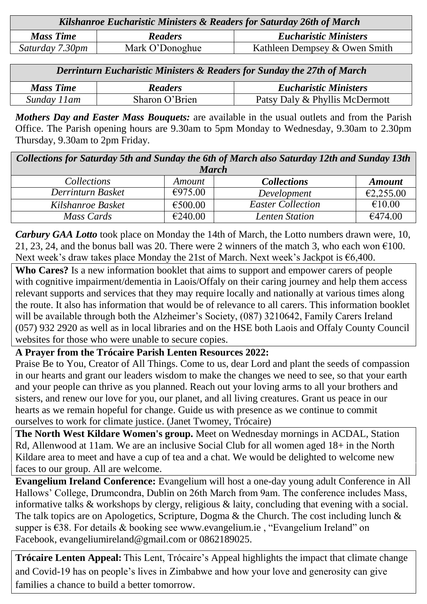| Kilshanroe Eucharistic Ministers & Readers for Saturday 26th of March |                 |                               |  |  |
|-----------------------------------------------------------------------|-----------------|-------------------------------|--|--|
| <b>Mass Time</b>                                                      | <b>Readers</b>  | <b>Eucharistic Ministers</b>  |  |  |
| Saturday 7.30pm                                                       | Mark O'Donoghue | Kathleen Dempsey & Owen Smith |  |  |

| <b>Derrinturn Eucharistic Ministers &amp; Readers for Sunday the 27th of March</b> |                |                                |  |  |
|------------------------------------------------------------------------------------|----------------|--------------------------------|--|--|
| <b>Mass Time</b>                                                                   | <b>Readers</b> | <b>Eucharistic Ministers</b>   |  |  |
| Sunday 11am                                                                        | Sharon O'Brien | Patsy Daly & Phyllis McDermott |  |  |

*Mothers Day and Easter Mass Bouquets:* are available in the usual outlets and from the Parish Office. The Parish opening hours are 9.30am to 5pm Monday to Wednesday, 9.30am to 2.30pm Thursday, 9.30am to 2pm Friday.

*Collections for Saturday 5th and Sunday the 6th of March also Saturday 12th and Sunday 13th March Collections Amount Collections Amount*

| Conections        | Amouni  | Couechons                | Amouni    |
|-------------------|---------|--------------------------|-----------|
| Derrinturn Basket | €975.00 | Development              | €2,255.00 |
| Kilshanroe Basket | €500.00 | <b>Easter Collection</b> | €10.00    |
| Mass Cards        | €240.00 | Lenten Station           | €474.00   |

*Carbury GAA Lotto* took place on Monday the 14th of March, the Lotto numbers drawn were, 10, 21, 23, 24, and the bonus ball was 20. There were 2 winners of the match 3, who each won  $\epsilon$ 100. Next week's draw takes place Monday the 21st of March. Next week's Jackpot is €6,400.

**Who Cares?** Is a new information booklet that aims to support and empower carers of people with cognitive impairment/dementia in Laois/Offaly on their caring journey and help them access relevant supports and services that they may require locally and nationally at various times along the route. It also has information that would be of relevance to all carers. This information booklet will be available through both the Alzheimer's Society, (087) 3210642, Family Carers Ireland (057) 932 2920 as well as in local libraries and on the HSE both Laois and Offaly County Council websites for those who were unable to secure copies.

## **A Prayer from the Trócaire Parish Lenten Resources 2022:**

Praise Be to You, Creator of All Things. Come to us, dear Lord and plant the seeds of compassion in our hearts and grant our leaders wisdom to make the changes we need to see, so that your earth and your people can thrive as you planned. Reach out your loving arms to all your brothers and sisters, and renew our love for you, our planet, and all living creatures. Grant us peace in our hearts as we remain hopeful for change. Guide us with presence as we continue to commit ourselves to work for climate justice. (Janet Twomey, Trócaire)

**The North West Kildare Women's group.** Meet on Wednesday mornings in ACDAL, Station Rd, Allenwood at 11am. We are an inclusive Social Club for all women aged 18+ in the North Kildare area to meet and have a cup of tea and a chat. We would be delighted to welcome new faces to our group. All are welcome.

**Evangelium Ireland Conference:** Evangelium will host a one-day young adult Conference in All Hallows' College, Drumcondra, Dublin on 26th March from 9am. The conference includes Mass, informative talks & workshops by clergy, religious & laity, concluding that evening with a social. The talk topics are on Apologetics, Scripture, Dogma & the Church. The cost including lunch & supper is €38. For details & booking see [www.evangelium.ie](http://www.evangelium.ie/) , "Evangelium Ireland" on Facebook, [evangeliumireland@gmail.com](mailto:evangeliumireland@gmail.com) or 0862189025.

**Trócaire Lenten Appeal:** This Lent, Trócaire's Appeal highlights the impact that climate change and Covid-19 has on people's lives in Zimbabwe and how your love and generosity can give families a chance to build a better tomorrow.